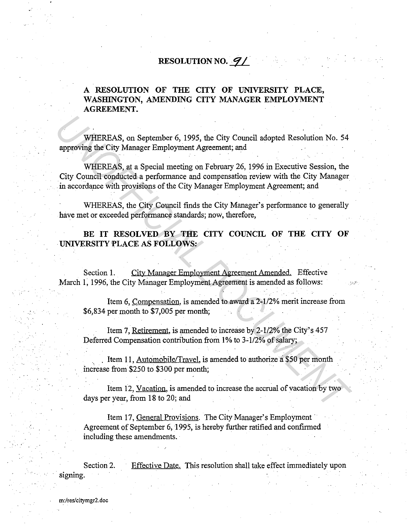## **RESOLUTION NO. 91**

## **A RESOLUTION OF THE CITY OF UNIVERSITY PLACE,**  WASHINGTON, AMENDING CITY MANAGER EMPLOYMENT **AGREEMENT.**

WHEREAS, on September 6, 1995, the City Council adopted Resolution No. 54 approving the City Manager Employment Agreement; and

WHEREAS, at a Special meeting on February 26, 1996 in Executive Session, the City Council conducted a performance and compensation review with the City Manager in accordance with provisions of the City Manager Employment Agreement; and WHEREAS, on September 6, 1995, the City Council adopted Resolution No. 54<br>
approving the City Manager Employment Agreement; and<br>
City Council conducted a performance and compensation review with the City Manager<br>
in accord

WHEREAS, the City Council finds the City Manager's performance to generally have met or exceeded performance standards; now, therefore,

BE IT RESOLVED BY THE CITY COUNCIL OF THE CITY OF **UNIVERSITY PLACE AS FOLLOWS:** 

Section **1.** City Manager Employment Agreement Amended. Effective March 1, 1996, the City Manager Employment Agreement is amended as follows:

Item 6, Compensation, is amended to award a 2-1/2% merit increase from \$6,834 per month to \$7,005 per month;

Item 7, Retirement, is amended to increase by 2-1/2% the City's 457 Deferred Compensation contribution from 1% to 3-1/2% of salary;

. Item 11, Automobile/Travel, is amended to authorize a \$50 per month increase from \$250 to \$300 per month;

Item 12, Vacation, is amended to increase the accrual of vacation by two days per year, from 18 to 20; and

Item 17, General Provisions. The City Manager's Employment Agreement of September 6, 1995, is hereby further ratified and confirmed including these amendments.

Section 2. signing. Effective Date. This resolution shall take effect immediately upon

m:/res/citymgr2.doc